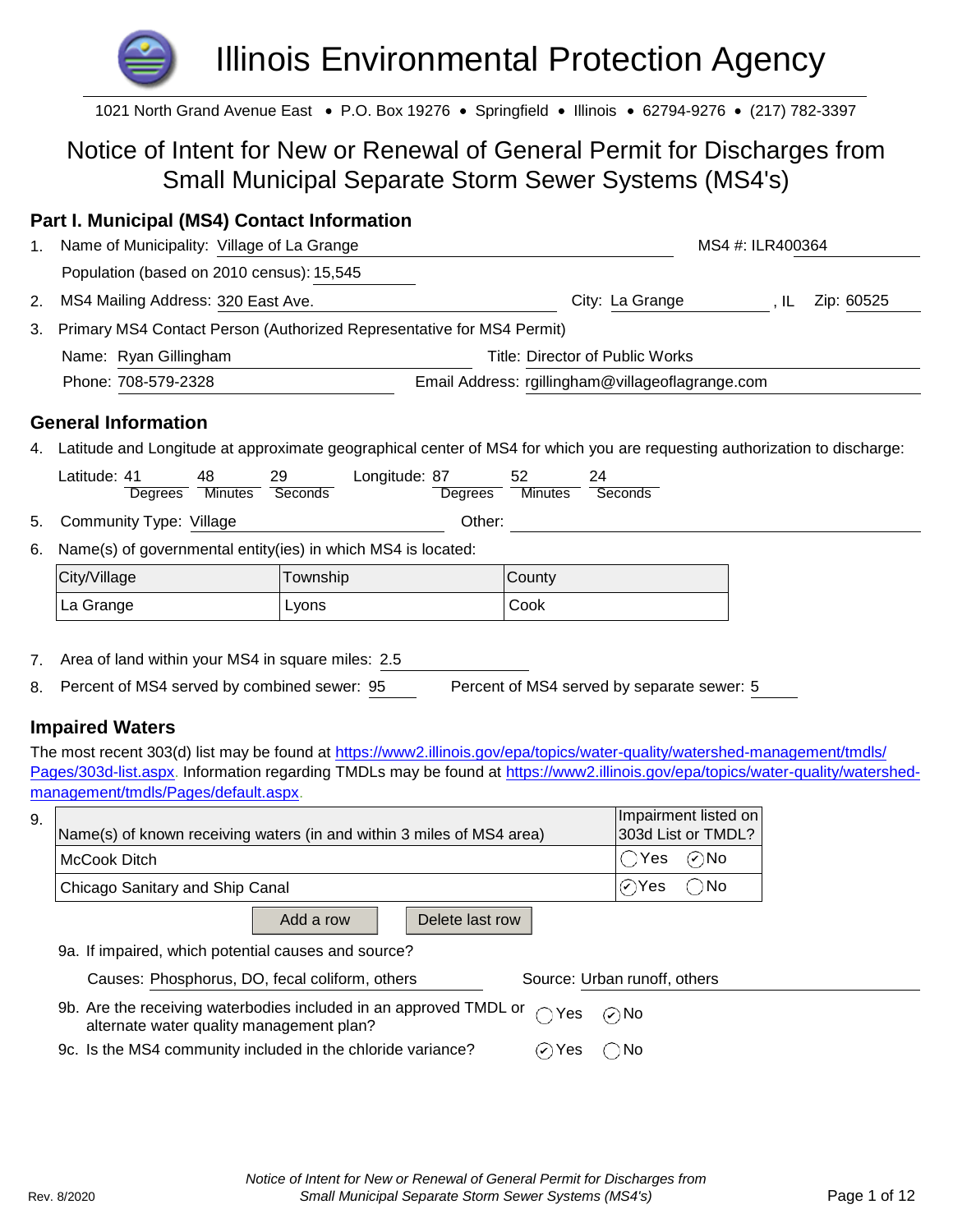# Illinois Environmental Protection Agency

1021 North Grand Avenue East • P.O. Box 19276 • Springfield • Illinois • 62794-9276 • (217) 782-3397

# Notice of Intent for New or Renewal of General Permit for Discharges from Small Municipal Separate Storm Sewer Systems (MS4's)

# **Part I. Municipal (MS4) Contact Information**

| 1. | Name of Municipality: Village of La Grange                               | MS4 #: ILR400364                                 |                   |
|----|--------------------------------------------------------------------------|--------------------------------------------------|-------------------|
|    | Population (based on 2010 census): 15,545                                |                                                  |                   |
|    | 2. MS4 Mailing Address: 320 East Ave.                                    | City: La Grange                                  | Zip: 60525<br>IL. |
|    | 3. Primary MS4 Contact Person (Authorized Representative for MS4 Permit) |                                                  |                   |
|    | Name: Ryan Gillingham                                                    | Title: Director of Public Works                  |                   |
|    | Phone: 708-579-2328                                                      | Email Address: rgillingham@villageoflagrange.com |                   |

### **General Information**

4. Latitude and Longitude at approximate geographical center of MS4 for which you are requesting authorization to discharge:

|    | Latitude: 41<br>Degrees                                       | 48<br><b>Minutes</b> | 29<br>Seconds | Longitude: 87 | Degrees | 52<br><b>Minutes</b> | 24<br>Seconds |  |  |  |
|----|---------------------------------------------------------------|----------------------|---------------|---------------|---------|----------------------|---------------|--|--|--|
| 5. | Community Type: Village                                       |                      |               |               | Other:  |                      |               |  |  |  |
| 6. | Name(s) of governmental entity(ies) in which MS4 is located:  |                      |               |               |         |                      |               |  |  |  |
|    | City/Village                                                  |                      | Township      |               |         | County               |               |  |  |  |
|    | La Grange                                                     |                      | Lyons         |               |         | Cook                 |               |  |  |  |
| 7  | $\Lambda$ ron of land within your $MCA$ in cause miles: $2.5$ |                      |               |               |         |                      |               |  |  |  |

- 7. Area of land within your MS4 in square miles: 2.5
- 8. Percent of MS4 served by combined sewer: 95 Percent of MS4 served by separate sewer: 5

# **Impaired Waters**

The most recent 303(d) list may be found at https://www2.illinois.gov/epa/topics/water-quality/watershed-management/tmdls/ Pages/303d-list.aspx. Information regarding TMDLs may be found at https://www2.illinois.gov/epa/topics/water-quality/watershedmanagement/tmdls/Pages/default.aspx.

|                                                                                                                      | Impairment listed on            |
|----------------------------------------------------------------------------------------------------------------------|---------------------------------|
| Name(s) of known receiving waters (in and within 3 miles of MS4 area)                                                | 303d List or TMDL?              |
| McCook Ditch                                                                                                         | $\odot$ No<br>$\bigcap$ Yes     |
| Chicago Sanitary and Ship Canal                                                                                      | $\bigcirc$ Yes<br>$\bigcirc$ No |
| Add a row<br>Delete last row                                                                                         |                                 |
| 9a. If impaired, which potential causes and source?                                                                  |                                 |
| Causes: Phosphorus, DO, fecal coliform, others                                                                       | Source: Urban runoff, others    |
| 9b. Are the receiving waterbodies included in an approved TMDL or<br>Yes<br>alternate water quality management plan? | $\odot$ No                      |
| 9c. Is the MS4 community included in the chloride variance?<br>⊘ Yes                                                 | ◯ No                            |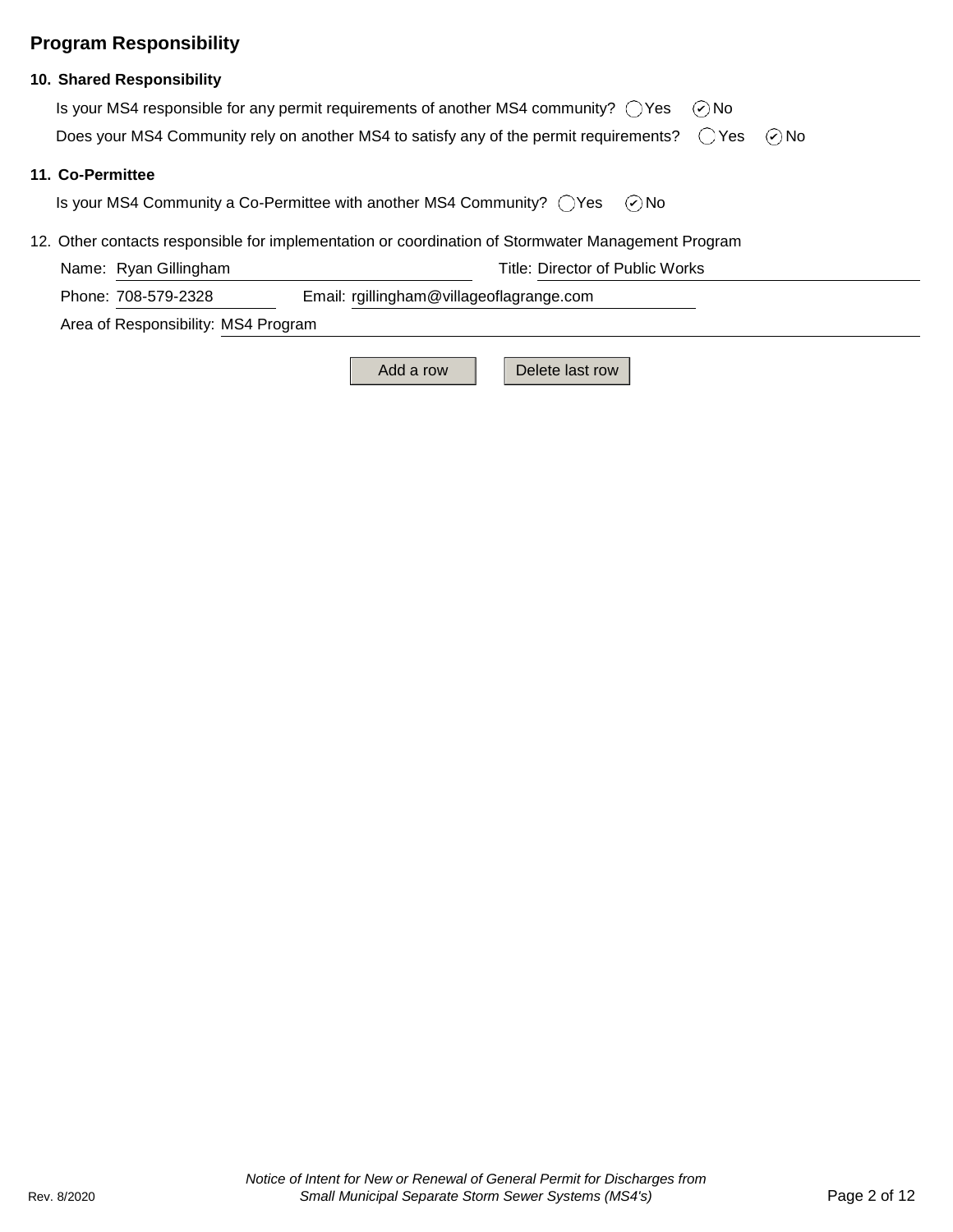# **Program Responsibility**

#### **10. Shared Responsibility**

| Is your MS4 responsible for any permit requirements of another MS4 community? $\bigcap$ Yes $\bigcirc$ No           |  |
|---------------------------------------------------------------------------------------------------------------------|--|
| Does your MS4 Community rely on another MS4 to satisfy any of the permit requirements? $\bigcirc$ Yes $\bigcirc$ No |  |

#### **11. Co-Permittee**

⊘No Is your MS4 Community a Co-Permittee with another MS4 Community?  $\bigcirc$  Yes

#### 12. Other contacts responsible for implementation or coordination of Stormwater Management Program

| Name: Ryan Gillingham | Title: Director of Public Works          |
|-----------------------|------------------------------------------|
| Phone: 708-579-2328   | Email: rgillingham@villageoflagrange.com |

Area of Responsibility: MS4 Program

Add a row **Delete last row**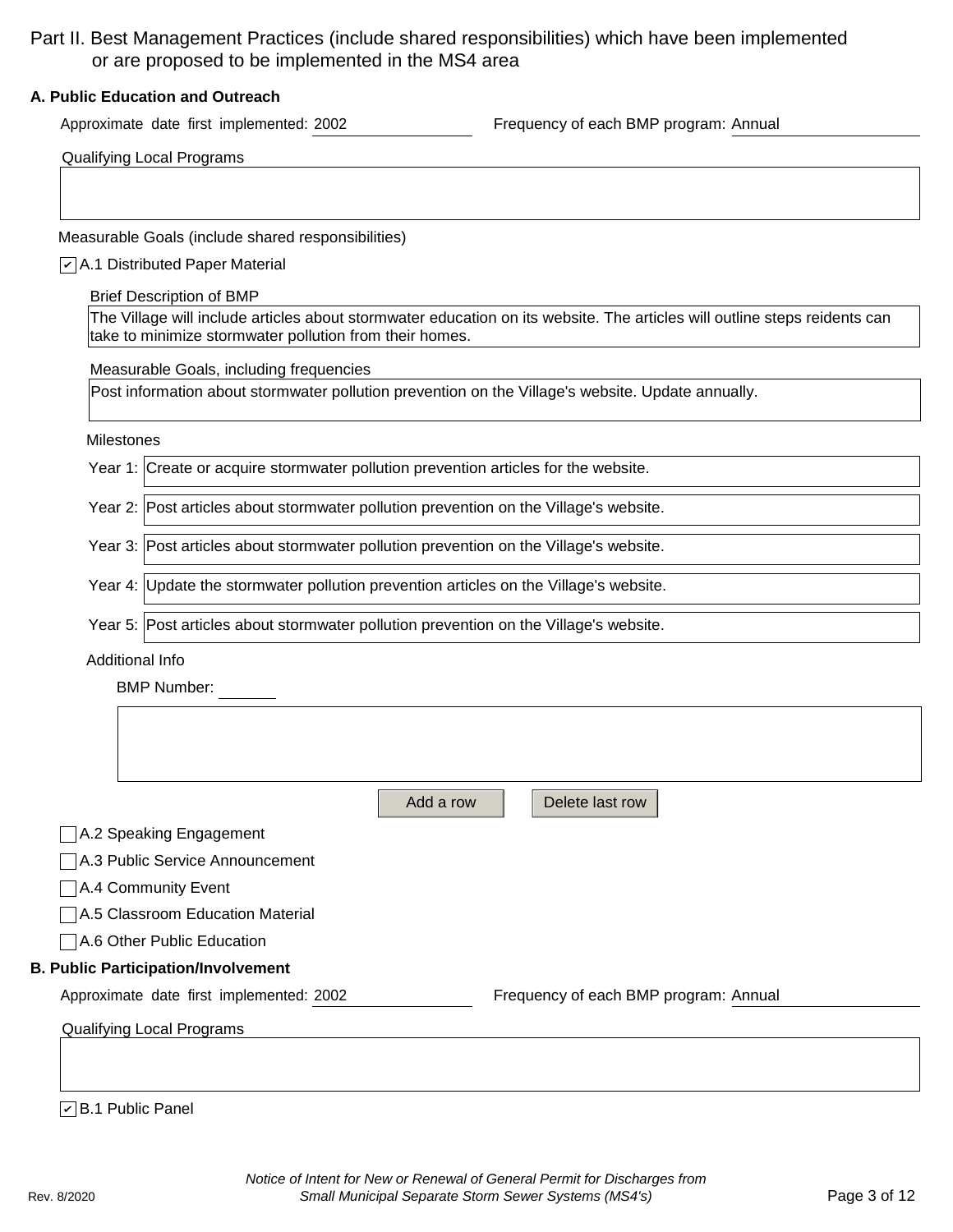# Part II. Best Management Practices (include shared responsibilities) which have been implemented or are proposed to be implemented in the MS4 area

#### **A. Public Education and Outreach**

Approximate date first implemented: 2002 Frequency of each BMP program: Annual

Measurable Goals (include shared responsibilities)

#### A.1 Distributed Paper Material *✔*

| <b>Brief Description of BMP</b> |  |
|---------------------------------|--|
|---------------------------------|--|

The Village will include articles about stormwater education on its website. The articles will outline steps reidents can take to minimize stormwater pollution from their homes.

Measurable Goals, including frequencies

Post information about stormwater pollution prevention on the Village's website. Update annually.

#### Milestones

Year 2: Post articles about stormwater pollution prevention on the Village's website.

Year 3: Post articles about stormwater pollution prevention on the Village's website.

Year 4: Update the stormwater pollution prevention articles on the Village's website.

Year 5: Post articles about stormwater pollution prevention on the Village's website.

Additional Info

BMP Number:

| A.2 Speaking Engagement<br>A.3 Public Service Announcement |  |                                       |
|------------------------------------------------------------|--|---------------------------------------|
|                                                            |  |                                       |
|                                                            |  |                                       |
| A.4 Community Event                                        |  |                                       |
| A.5 Classroom Education Material                           |  |                                       |
| A.6 Other Public Education                                 |  |                                       |
| <b>B. Public Participation/Involvement</b>                 |  |                                       |
| Approximate date first implemented: 2002                   |  | Frequency of each BMP program: Annual |
| Qualifying Local Programs                                  |  |                                       |

#### B.1 Public Panel *✔*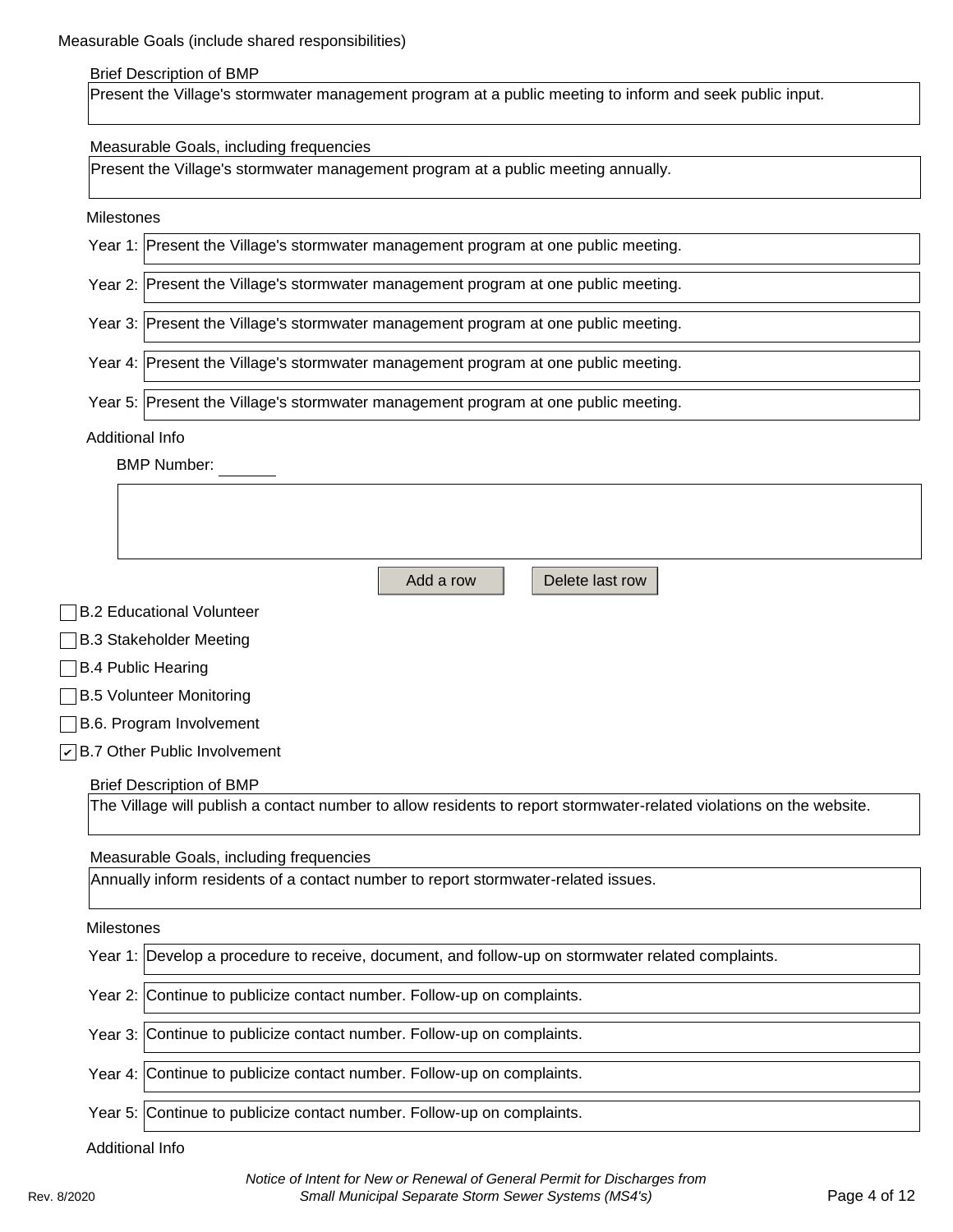#### Brief Description of BMP

Present the Village's stormwater management program at a public meeting to inform and seek public input.

#### Measurable Goals, including frequencies

Present the Village's stormwater management program at a public meeting annually.

#### Milestones

| Year 1: Present the Village's stormwater management program at one public meeting. |
|------------------------------------------------------------------------------------|
| Year 2: Present the Village's stormwater management program at one public meeting. |
| Year 3: Present the Village's stormwater management program at one public meeting. |
| Year 4: Present the Village's stormwater management program at one public meeting. |
| Year 5: Present the Village's stormwater management program at one public meeting. |
| Additional Info                                                                    |
| <b>BMP Number:</b>                                                                 |

|                           | Add a row<br>Delete last row                                                                                         |  |  |  |  |
|---------------------------|----------------------------------------------------------------------------------------------------------------------|--|--|--|--|
|                           | □B.2 Educational Volunteer                                                                                           |  |  |  |  |
|                           | <b>B.3 Stakeholder Meeting</b>                                                                                       |  |  |  |  |
|                           | $\Box$ B.4 Public Hearing                                                                                            |  |  |  |  |
| □B.5 Volunteer Monitoring |                                                                                                                      |  |  |  |  |
|                           | <b>B.6. Program Involvement</b>                                                                                      |  |  |  |  |
|                           | $\sqrt{\phantom{a}}$ B.7 Other Public Involvement                                                                    |  |  |  |  |
|                           | <b>Brief Description of BMP</b>                                                                                      |  |  |  |  |
|                           | The Village will publish a contact number to allow residents to report stormwater-related violations on the website. |  |  |  |  |
|                           |                                                                                                                      |  |  |  |  |
|                           | Measurable Goals, including frequencies                                                                              |  |  |  |  |
|                           | Annually inform residents of a contact number to report stormwater-related issues.                                   |  |  |  |  |

#### Milestones

|                 | Year 1: Develop a procedure to receive, document, and follow-up on stormwater related complaints. |  |  |
|-----------------|---------------------------------------------------------------------------------------------------|--|--|
|                 | Year 2: Continue to publicize contact number. Follow-up on complaints.                            |  |  |
|                 | Year 3: Continue to publicize contact number. Follow-up on complaints.                            |  |  |
|                 | Year 4: Continue to publicize contact number. Follow-up on complaints.                            |  |  |
|                 | Year 5: Continue to publicize contact number. Follow-up on complaints.                            |  |  |
| Additional Info |                                                                                                   |  |  |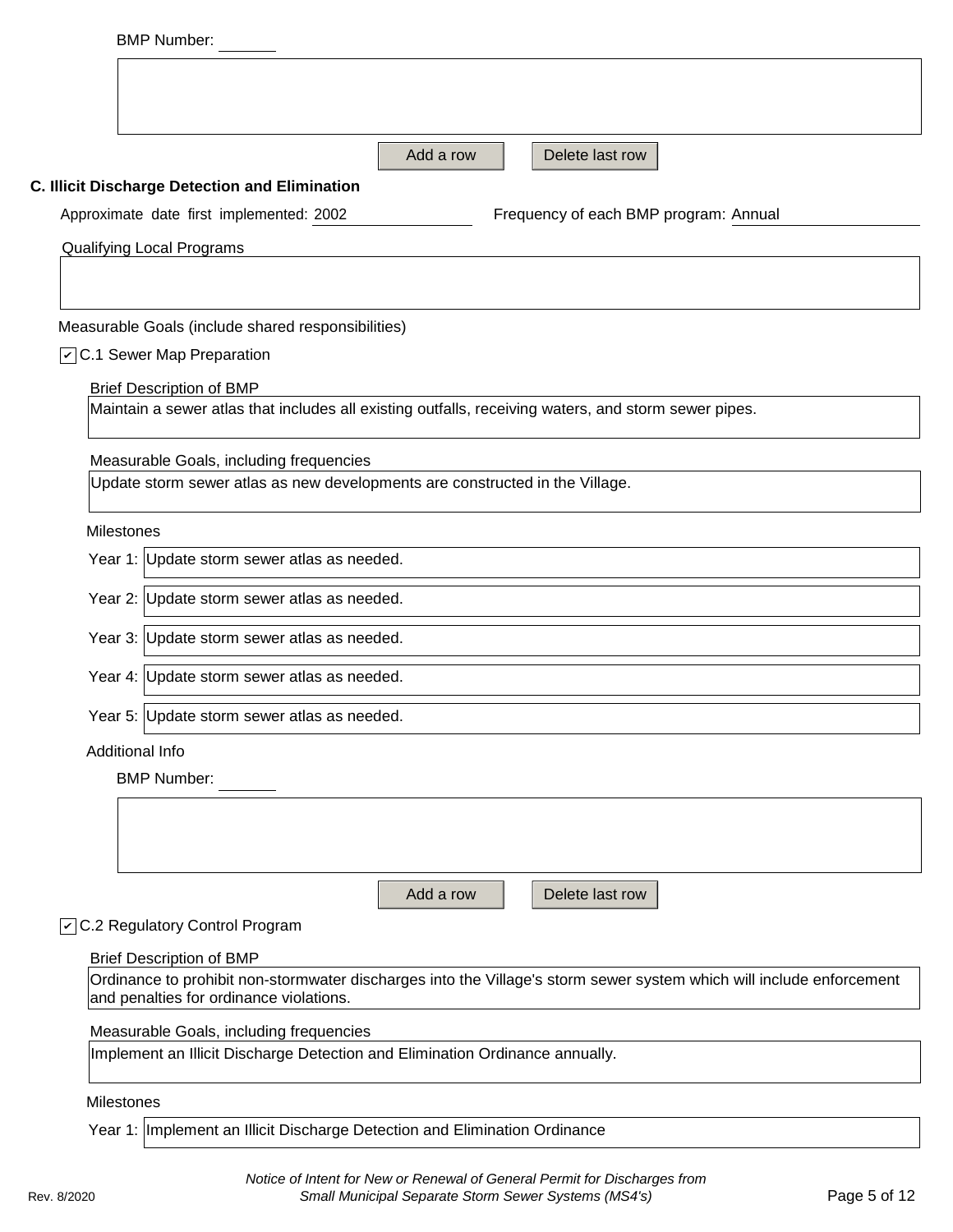| Add a row<br>Delete last row<br>C. Illicit Discharge Detection and Elimination<br>Approximate date first implemented: 2002<br>Frequency of each BMP program: Annual<br><b>Qualifying Local Programs</b><br>Measurable Goals (include shared responsibilities)<br>○ C.1 Sewer Map Preparation<br><b>Brief Description of BMP</b><br>Maintain a sewer atlas that includes all existing outfalls, receiving waters, and storm sewer pipes.<br>Measurable Goals, including frequencies<br>Update storm sewer atlas as new developments are constructed in the Village.<br><b>Milestones</b><br>Year 1: Update storm sewer atlas as needed.<br>Year 2: Update storm sewer atlas as needed.<br>Year 3: Update storm sewer atlas as needed.<br>Year 4: Update storm sewer atlas as needed.<br>Year 5: Update storm sewer atlas as needed.<br>Additional Info<br><b>BMP Number:</b><br>Delete last row<br>Add a row<br>○ C.2 Regulatory Control Program<br><b>Brief Description of BMP</b><br>Ordinance to prohibit non-stormwater discharges into the Village's storm sewer system which will include enforcement<br>and penalties for ordinance violations.<br>Measurable Goals, including frequencies |  |
|--------------------------------------------------------------------------------------------------------------------------------------------------------------------------------------------------------------------------------------------------------------------------------------------------------------------------------------------------------------------------------------------------------------------------------------------------------------------------------------------------------------------------------------------------------------------------------------------------------------------------------------------------------------------------------------------------------------------------------------------------------------------------------------------------------------------------------------------------------------------------------------------------------------------------------------------------------------------------------------------------------------------------------------------------------------------------------------------------------------------------------------------------------------------------------------------------|--|
|                                                                                                                                                                                                                                                                                                                                                                                                                                                                                                                                                                                                                                                                                                                                                                                                                                                                                                                                                                                                                                                                                                                                                                                                  |  |
|                                                                                                                                                                                                                                                                                                                                                                                                                                                                                                                                                                                                                                                                                                                                                                                                                                                                                                                                                                                                                                                                                                                                                                                                  |  |
|                                                                                                                                                                                                                                                                                                                                                                                                                                                                                                                                                                                                                                                                                                                                                                                                                                                                                                                                                                                                                                                                                                                                                                                                  |  |
|                                                                                                                                                                                                                                                                                                                                                                                                                                                                                                                                                                                                                                                                                                                                                                                                                                                                                                                                                                                                                                                                                                                                                                                                  |  |
|                                                                                                                                                                                                                                                                                                                                                                                                                                                                                                                                                                                                                                                                                                                                                                                                                                                                                                                                                                                                                                                                                                                                                                                                  |  |
|                                                                                                                                                                                                                                                                                                                                                                                                                                                                                                                                                                                                                                                                                                                                                                                                                                                                                                                                                                                                                                                                                                                                                                                                  |  |
|                                                                                                                                                                                                                                                                                                                                                                                                                                                                                                                                                                                                                                                                                                                                                                                                                                                                                                                                                                                                                                                                                                                                                                                                  |  |
|                                                                                                                                                                                                                                                                                                                                                                                                                                                                                                                                                                                                                                                                                                                                                                                                                                                                                                                                                                                                                                                                                                                                                                                                  |  |
|                                                                                                                                                                                                                                                                                                                                                                                                                                                                                                                                                                                                                                                                                                                                                                                                                                                                                                                                                                                                                                                                                                                                                                                                  |  |
|                                                                                                                                                                                                                                                                                                                                                                                                                                                                                                                                                                                                                                                                                                                                                                                                                                                                                                                                                                                                                                                                                                                                                                                                  |  |
|                                                                                                                                                                                                                                                                                                                                                                                                                                                                                                                                                                                                                                                                                                                                                                                                                                                                                                                                                                                                                                                                                                                                                                                                  |  |
|                                                                                                                                                                                                                                                                                                                                                                                                                                                                                                                                                                                                                                                                                                                                                                                                                                                                                                                                                                                                                                                                                                                                                                                                  |  |
|                                                                                                                                                                                                                                                                                                                                                                                                                                                                                                                                                                                                                                                                                                                                                                                                                                                                                                                                                                                                                                                                                                                                                                                                  |  |
|                                                                                                                                                                                                                                                                                                                                                                                                                                                                                                                                                                                                                                                                                                                                                                                                                                                                                                                                                                                                                                                                                                                                                                                                  |  |
|                                                                                                                                                                                                                                                                                                                                                                                                                                                                                                                                                                                                                                                                                                                                                                                                                                                                                                                                                                                                                                                                                                                                                                                                  |  |
|                                                                                                                                                                                                                                                                                                                                                                                                                                                                                                                                                                                                                                                                                                                                                                                                                                                                                                                                                                                                                                                                                                                                                                                                  |  |
|                                                                                                                                                                                                                                                                                                                                                                                                                                                                                                                                                                                                                                                                                                                                                                                                                                                                                                                                                                                                                                                                                                                                                                                                  |  |
|                                                                                                                                                                                                                                                                                                                                                                                                                                                                                                                                                                                                                                                                                                                                                                                                                                                                                                                                                                                                                                                                                                                                                                                                  |  |
|                                                                                                                                                                                                                                                                                                                                                                                                                                                                                                                                                                                                                                                                                                                                                                                                                                                                                                                                                                                                                                                                                                                                                                                                  |  |
|                                                                                                                                                                                                                                                                                                                                                                                                                                                                                                                                                                                                                                                                                                                                                                                                                                                                                                                                                                                                                                                                                                                                                                                                  |  |
|                                                                                                                                                                                                                                                                                                                                                                                                                                                                                                                                                                                                                                                                                                                                                                                                                                                                                                                                                                                                                                                                                                                                                                                                  |  |
|                                                                                                                                                                                                                                                                                                                                                                                                                                                                                                                                                                                                                                                                                                                                                                                                                                                                                                                                                                                                                                                                                                                                                                                                  |  |
|                                                                                                                                                                                                                                                                                                                                                                                                                                                                                                                                                                                                                                                                                                                                                                                                                                                                                                                                                                                                                                                                                                                                                                                                  |  |
|                                                                                                                                                                                                                                                                                                                                                                                                                                                                                                                                                                                                                                                                                                                                                                                                                                                                                                                                                                                                                                                                                                                                                                                                  |  |
|                                                                                                                                                                                                                                                                                                                                                                                                                                                                                                                                                                                                                                                                                                                                                                                                                                                                                                                                                                                                                                                                                                                                                                                                  |  |
|                                                                                                                                                                                                                                                                                                                                                                                                                                                                                                                                                                                                                                                                                                                                                                                                                                                                                                                                                                                                                                                                                                                                                                                                  |  |
|                                                                                                                                                                                                                                                                                                                                                                                                                                                                                                                                                                                                                                                                                                                                                                                                                                                                                                                                                                                                                                                                                                                                                                                                  |  |
|                                                                                                                                                                                                                                                                                                                                                                                                                                                                                                                                                                                                                                                                                                                                                                                                                                                                                                                                                                                                                                                                                                                                                                                                  |  |
|                                                                                                                                                                                                                                                                                                                                                                                                                                                                                                                                                                                                                                                                                                                                                                                                                                                                                                                                                                                                                                                                                                                                                                                                  |  |
| Implement an Illicit Discharge Detection and Elimination Ordinance annually.                                                                                                                                                                                                                                                                                                                                                                                                                                                                                                                                                                                                                                                                                                                                                                                                                                                                                                                                                                                                                                                                                                                     |  |
|                                                                                                                                                                                                                                                                                                                                                                                                                                                                                                                                                                                                                                                                                                                                                                                                                                                                                                                                                                                                                                                                                                                                                                                                  |  |

Year 1: Implement an Illicit Discharge Detection and Elimination Ordinance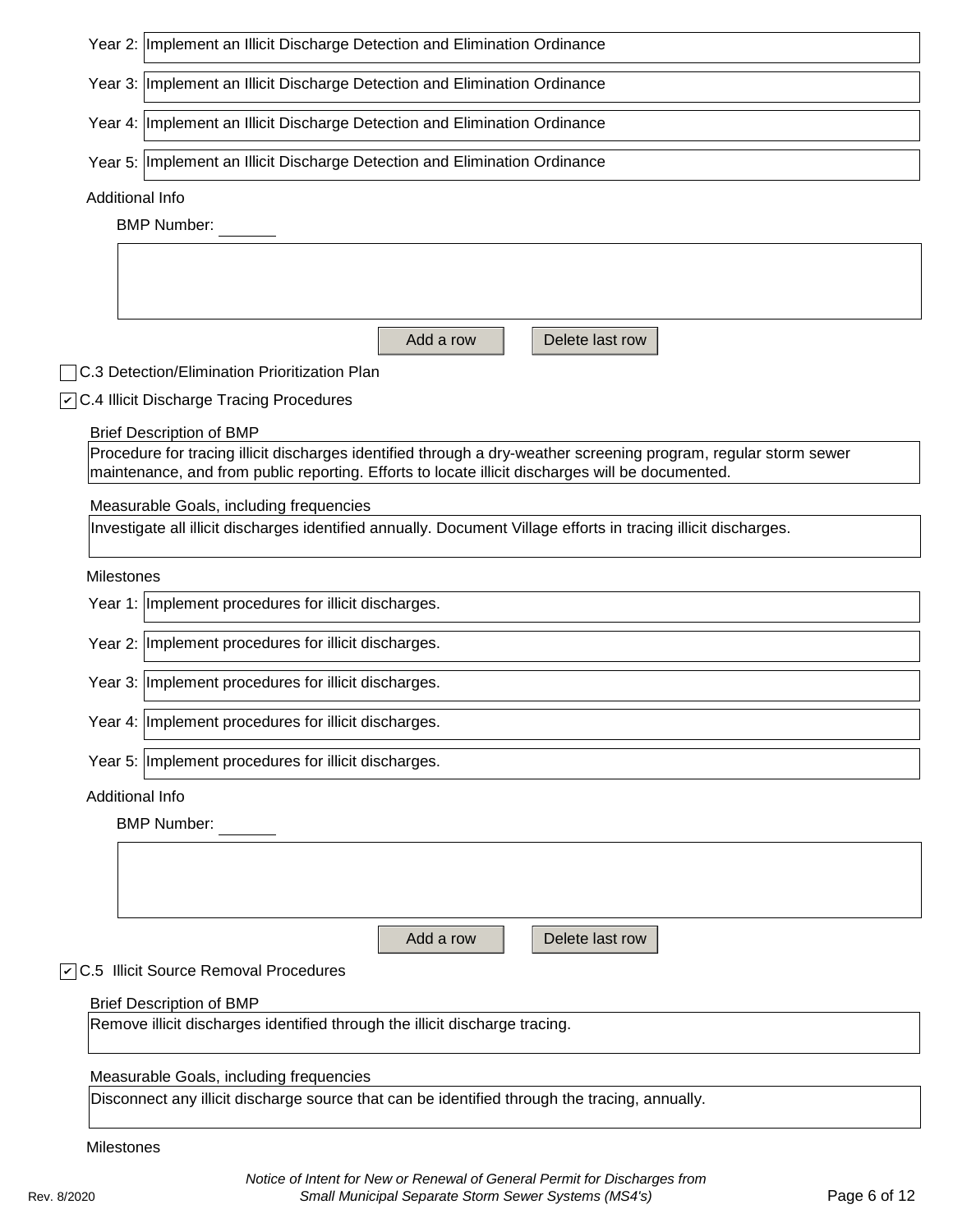| Year 2: Implement an Illicit Discharge Detection and Elimination Ordinance                                                                                                                                           |  |  |  |  |
|----------------------------------------------------------------------------------------------------------------------------------------------------------------------------------------------------------------------|--|--|--|--|
| Year 3: Implement an Illicit Discharge Detection and Elimination Ordinance                                                                                                                                           |  |  |  |  |
| Year 4: Implement an Illicit Discharge Detection and Elimination Ordinance                                                                                                                                           |  |  |  |  |
| Year 5: Implement an Illicit Discharge Detection and Elimination Ordinance                                                                                                                                           |  |  |  |  |
| Additional Info                                                                                                                                                                                                      |  |  |  |  |
| <b>BMP Number:</b>                                                                                                                                                                                                   |  |  |  |  |
|                                                                                                                                                                                                                      |  |  |  |  |
|                                                                                                                                                                                                                      |  |  |  |  |
| Add a row<br>Delete last row                                                                                                                                                                                         |  |  |  |  |
| C.3 Detection/Elimination Prioritization Plan                                                                                                                                                                        |  |  |  |  |
| $\sqrt{C}$ .4 Illicit Discharge Tracing Procedures                                                                                                                                                                   |  |  |  |  |
| <b>Brief Description of BMP</b>                                                                                                                                                                                      |  |  |  |  |
| Procedure for tracing illicit discharges identified through a dry-weather screening program, regular storm sewer<br>maintenance, and from public reporting. Efforts to locate illicit discharges will be documented. |  |  |  |  |
| Measurable Goals, including frequencies                                                                                                                                                                              |  |  |  |  |
| Investigate all illicit discharges identified annually. Document Village efforts in tracing illicit discharges.                                                                                                      |  |  |  |  |
| Milestones                                                                                                                                                                                                           |  |  |  |  |
| Year 1: Implement procedures for illicit discharges.                                                                                                                                                                 |  |  |  |  |
| Year 2: Implement procedures for illicit discharges.                                                                                                                                                                 |  |  |  |  |
|                                                                                                                                                                                                                      |  |  |  |  |
| Year 3: Implement procedures for illicit discharges.                                                                                                                                                                 |  |  |  |  |
| Year 4: Implement procedures for illicit discharges.                                                                                                                                                                 |  |  |  |  |
| Year 5: Implement procedures for illicit discharges.                                                                                                                                                                 |  |  |  |  |
| <b>Additional Info</b>                                                                                                                                                                                               |  |  |  |  |
| <b>BMP Number:</b>                                                                                                                                                                                                   |  |  |  |  |
|                                                                                                                                                                                                                      |  |  |  |  |
|                                                                                                                                                                                                                      |  |  |  |  |
|                                                                                                                                                                                                                      |  |  |  |  |
| Add a row<br>Delete last row                                                                                                                                                                                         |  |  |  |  |
| 7 C.5 Illicit Source Removal Procedures                                                                                                                                                                              |  |  |  |  |
| <b>Brief Description of BMP</b><br>Remove illicit discharges identified through the illicit discharge tracing.                                                                                                       |  |  |  |  |
|                                                                                                                                                                                                                      |  |  |  |  |
| Measurable Goals, including frequencies                                                                                                                                                                              |  |  |  |  |
| Disconnect any illicit discharge source that can be identified through the tracing, annually.                                                                                                                        |  |  |  |  |
| Milestones                                                                                                                                                                                                           |  |  |  |  |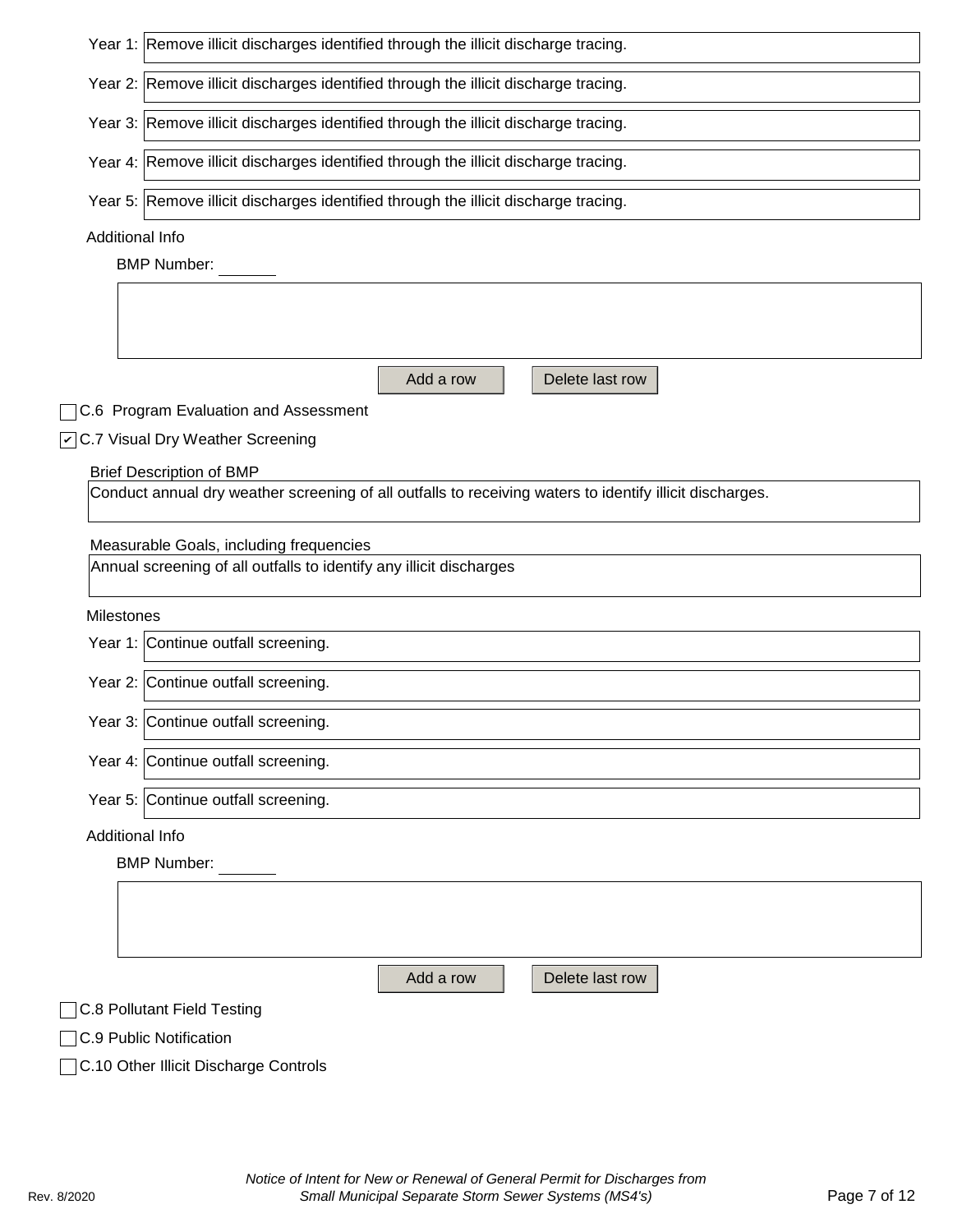| Year 1: Remove illicit discharges identified through the illicit discharge tracing.                      |
|----------------------------------------------------------------------------------------------------------|
| Year 2: Remove illicit discharges identified through the illicit discharge tracing.                      |
| Year 3: Remove illicit discharges identified through the illicit discharge tracing.                      |
| Year 4: Remove illicit discharges identified through the illicit discharge tracing.                      |
| Year 5: Remove illicit discharges identified through the illicit discharge tracing.                      |
| Additional Info                                                                                          |
| <b>BMP Number:</b>                                                                                       |
|                                                                                                          |
|                                                                                                          |
| Add a row<br>Delete last row                                                                             |
| C.6 Program Evaluation and Assessment                                                                    |
| ○ C.7 Visual Dry Weather Screening                                                                       |
| <b>Brief Description of BMP</b>                                                                          |
| Conduct annual dry weather screening of all outfalls to receiving waters to identify illicit discharges. |
|                                                                                                          |
| Measurable Goals, including frequencies                                                                  |
| Annual screening of all outfalls to identify any illicit discharges                                      |
| Milestones                                                                                               |
| Year 1: Continue outfall screening.                                                                      |
| Year 2: Continue outfall screening.                                                                      |
| Year 3: Continue outfall screening.                                                                      |
| Year 4: Continue outfall screening.                                                                      |
| Year 5: Continue outfall screening.                                                                      |
| Additional Info                                                                                          |
| <b>BMP Number:</b>                                                                                       |
|                                                                                                          |
|                                                                                                          |
|                                                                                                          |
| Add a row<br>Delete last row                                                                             |
| <b>C.8 Pollutant Field Testing</b>                                                                       |
| C.9 Public Notification                                                                                  |
| C.10 Other Illicit Discharge Controls                                                                    |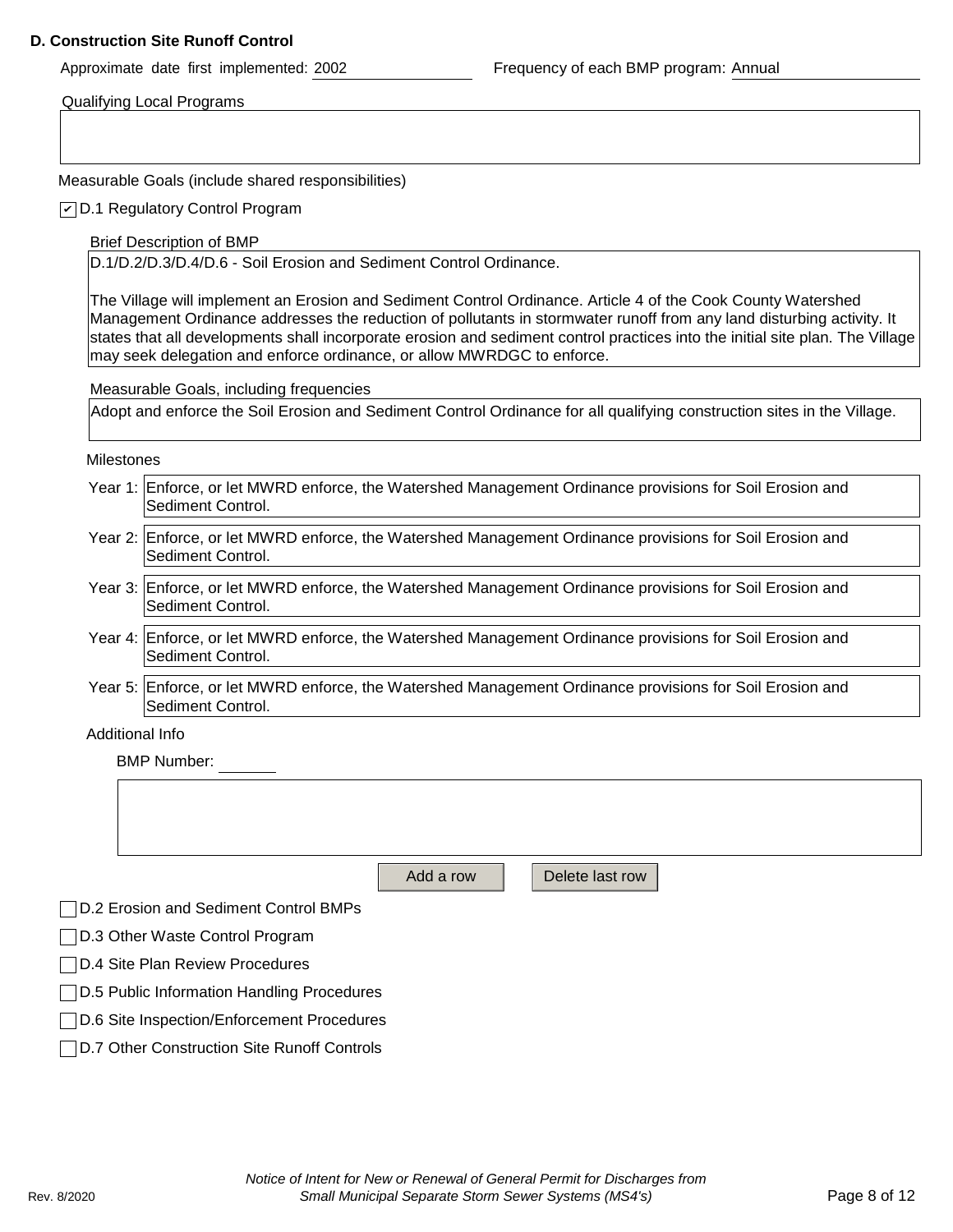#### **D. Construction Site Runoff Control**

Approximate date first implemented: 2002 Frequency of each BMP program: Annual

Qualifying Local Programs

Measurable Goals (include shared responsibilities)

D.1 Regulatory Control Program *✔*

Brief Description of BMP

D.1/D.2/D.3/D.4/D.6 - Soil Erosion and Sediment Control Ordinance.

The Village will implement an Erosion and Sediment Control Ordinance. Article 4 of the Cook County Watershed Management Ordinance addresses the reduction of pollutants in stormwater runoff from any land disturbing activity. It states that all developments shall incorporate erosion and sediment control practices into the initial site plan. The Village may seek delegation and enforce ordinance, or allow MWRDGC to enforce.

Measurable Goals, including frequencies

Adopt and enforce the Soil Erosion and Sediment Control Ordinance for all qualifying construction sites in the Village.

Milestones

- Year 1: Enforce, or let MWRD enforce, the Watershed Management Ordinance provisions for Soil Erosion and Sediment Control.
- Year 2: Enforce, or let MWRD enforce, the Watershed Management Ordinance provisions for Soil Erosion and Sediment Control.
- Year 3: Enforce, or let MWRD enforce, the Watershed Management Ordinance provisions for Soil Erosion and Sediment Control.
- Year 4: Enforce, or let MWRD enforce, the Watershed Management Ordinance provisions for Soil Erosion and Sediment Control.
- Year 5: Enforce, or let MWRD enforce, the Watershed Management Ordinance provisions for Soil Erosion and Sediment Control.

Additional Info

BMP Number:

Add a row **Delete** last row

D.2 Erosion and Sediment Control BMPs

□D.3 Other Waste Control Program

- D.4 Site Plan Review Procedures
- D.5 Public Information Handling Procedures
- D.6 Site Inspection/Enforcement Procedures
- D.7 Other Construction Site Runoff Controls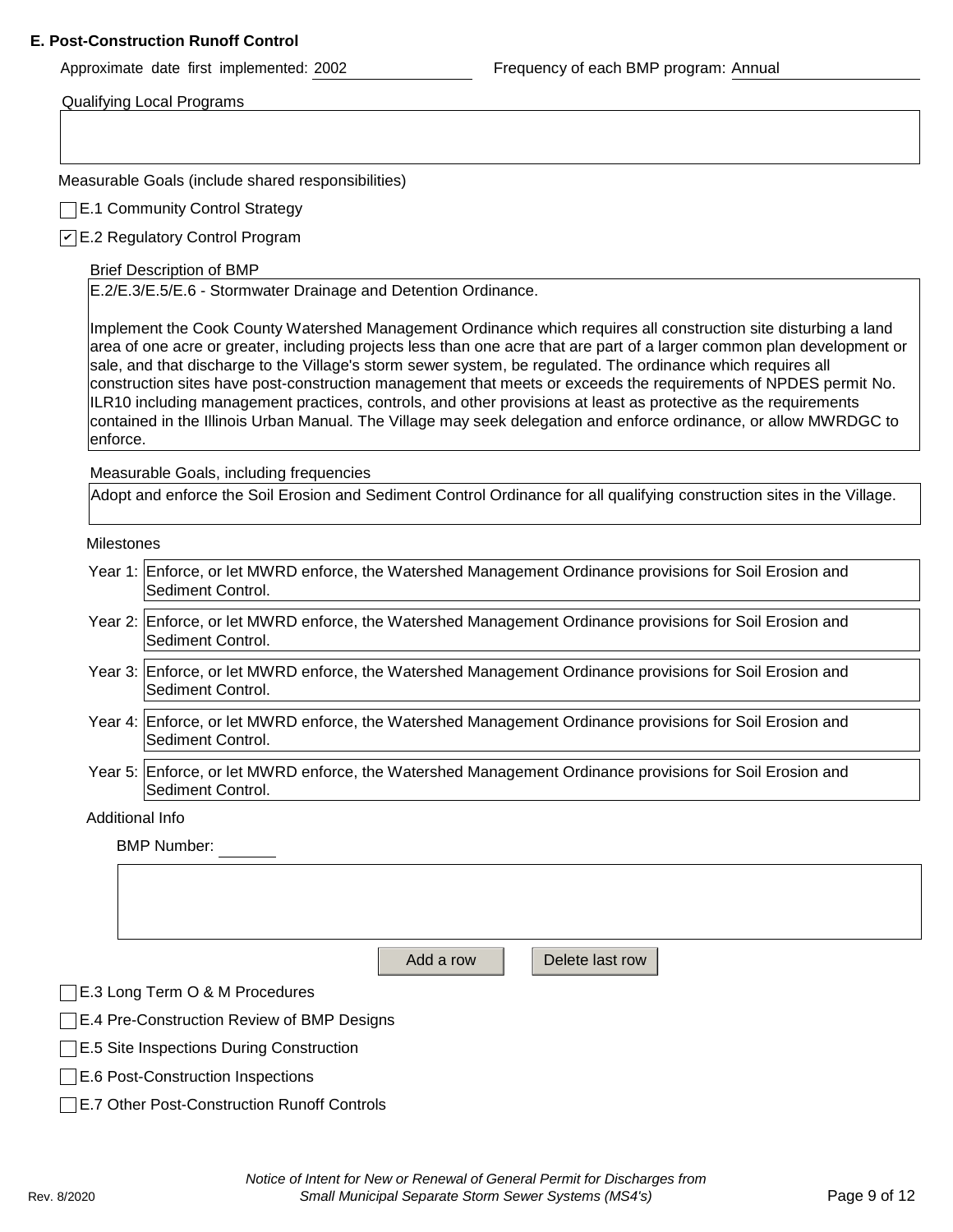#### **E. Post-Construction Runoff Control**

Approximate date first implemented: 2002 Frequency of each BMP program: Annual

Qualifying Local Programs

Measurable Goals (include shared responsibilities)

**E.1 Community Control Strategy** 

E.2 Regulatory Control Program *✔*

Brief Description of BMP

E.2/E.3/E.5/E.6 - Stormwater Drainage and Detention Ordinance.

Implement the Cook County Watershed Management Ordinance which requires all construction site disturbing a land area of one acre or greater, including projects less than one acre that are part of a larger common plan development or sale, and that discharge to the Village's storm sewer system, be regulated. The ordinance which requires all construction sites have post-construction management that meets or exceeds the requirements of NPDES permit No. ILR10 including management practices, controls, and other provisions at least as protective as the requirements contained in the Illinois Urban Manual. The Village may seek delegation and enforce ordinance, or allow MWRDGC to enforce.

Measurable Goals, including frequencies

Adopt and enforce the Soil Erosion and Sediment Control Ordinance for all qualifying construction sites in the Village.

Milestones

| Year 1: Enforce, or let MWRD enforce, the Watershed Management Ordinance provisions for Soil Erosion and |
|----------------------------------------------------------------------------------------------------------|
| Sediment Control.                                                                                        |

- Year 2: Enforce, or let MWRD enforce, the Watershed Management Ordinance provisions for Soil Erosion and Sediment Control.
- Year 3: Enforce, or let MWRD enforce, the Watershed Management Ordinance provisions for Soil Erosion and Sediment Control.
- Year 4: Enforce, or let MWRD enforce, the Watershed Management Ordinance provisions for Soil Erosion and Sediment Control.
- Year 5: Enforce, or let MWRD enforce, the Watershed Management Ordinance provisions for Soil Erosion and Sediment Control.

Additional Info

BMP Number:

Add a row  $\parallel$  Delete last row

E.3 Long Term O & M Procedures

**E.4 Pre-Construction Review of BMP Designs** 

**E.5 Site Inspections During Construction** 

**E.6 Post-Construction Inspections** 

E.7 Other Post-Construction Runoff Controls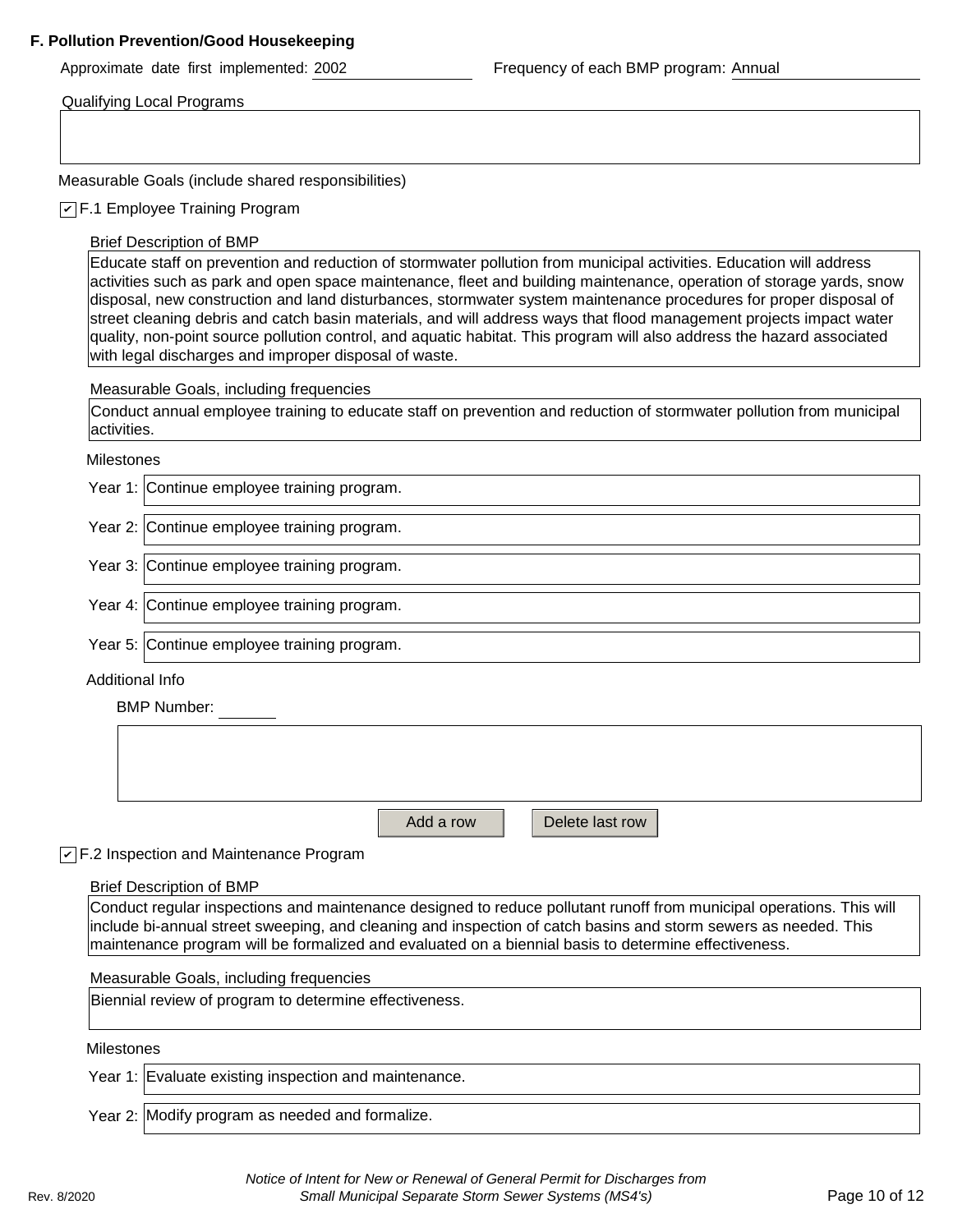#### **F. Pollution Prevention/Good Housekeeping**

Approximate date first implemented: 2002 Frequency of each BMP program: Annual

Qualifying Local Programs

Measurable Goals (include shared responsibilities)

F.1 Employee Training Program *✔*

#### Brief Description of BMP

Educate staff on prevention and reduction of stormwater pollution from municipal activities. Education will address activities such as park and open space maintenance, fleet and building maintenance, operation of storage yards, snow disposal, new construction and land disturbances, stormwater system maintenance procedures for proper disposal of street cleaning debris and catch basin materials, and will address ways that flood management projects impact water quality, non-point source pollution control, and aquatic habitat. This program will also address the hazard associated with legal discharges and improper disposal of waste.

Measurable Goals, including frequencies

Conduct annual employee training to educate staff on prevention and reduction of stormwater pollution from municipal activities.

Milestones

Year 1: Continue employee training program.

Year 2: Continue employee training program.

Year 3: Continue employee training program.

Year 4: Continue employee training program.

Year 5: Continue employee training program.

#### Additional Info

BMP Number:

Add a row **Net L** Delete last row

#### F.2 Inspection and Maintenance Program *✔*

Brief Description of BMP

Conduct regular inspections and maintenance designed to reduce pollutant runoff from municipal operations. This will include bi-annual street sweeping, and cleaning and inspection of catch basins and storm sewers as needed. This maintenance program will be formalized and evaluated on a biennial basis to determine effectiveness.

Measurable Goals, including frequencies

Biennial review of program to determine effectiveness.

Milestones

Year 1: Evaluate existing inspection and maintenance.

Year 2: Modify program as needed and formalize.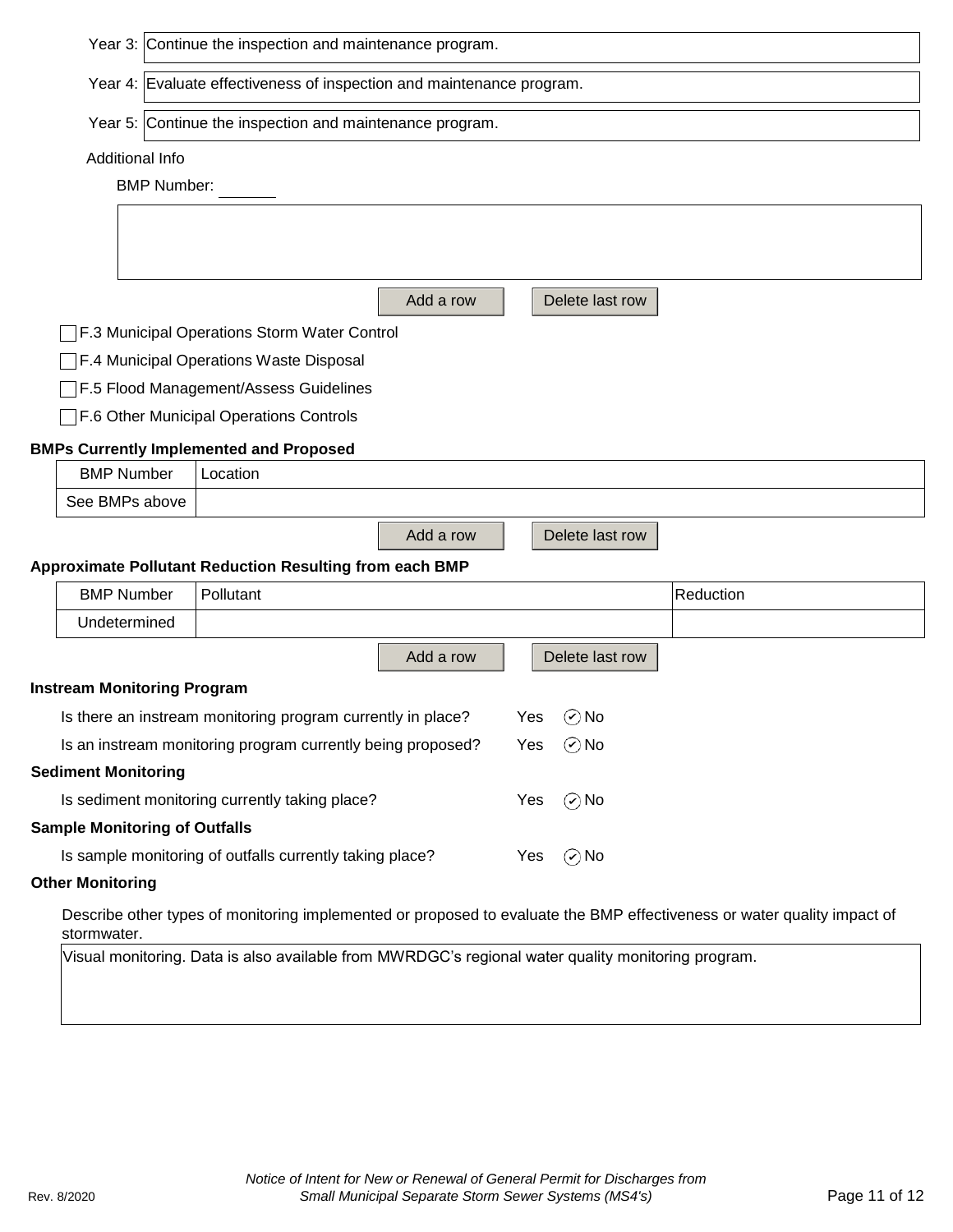|                                                                               | Year 3: Continue the inspection and maintenance program.    |                                                                                                    |           |     |                 |                                                                                                                         |  |  |  |  |
|-------------------------------------------------------------------------------|-------------------------------------------------------------|----------------------------------------------------------------------------------------------------|-----------|-----|-----------------|-------------------------------------------------------------------------------------------------------------------------|--|--|--|--|
|                                                                               |                                                             | Year 4: Evaluate effectiveness of inspection and maintenance program.                              |           |     |                 |                                                                                                                         |  |  |  |  |
|                                                                               |                                                             | Year 5: Continue the inspection and maintenance program.                                           |           |     |                 |                                                                                                                         |  |  |  |  |
|                                                                               | Additional Info                                             |                                                                                                    |           |     |                 |                                                                                                                         |  |  |  |  |
|                                                                               | <b>BMP Number:</b>                                          |                                                                                                    |           |     |                 |                                                                                                                         |  |  |  |  |
|                                                                               |                                                             |                                                                                                    |           |     |                 |                                                                                                                         |  |  |  |  |
|                                                                               |                                                             |                                                                                                    |           |     |                 |                                                                                                                         |  |  |  |  |
|                                                                               |                                                             |                                                                                                    | Add a row |     | Delete last row |                                                                                                                         |  |  |  |  |
|                                                                               |                                                             | F.3 Municipal Operations Storm Water Control                                                       |           |     |                 |                                                                                                                         |  |  |  |  |
|                                                                               |                                                             | F.4 Municipal Operations Waste Disposal                                                            |           |     |                 |                                                                                                                         |  |  |  |  |
|                                                                               |                                                             | F.5 Flood Management/Assess Guidelines                                                             |           |     |                 |                                                                                                                         |  |  |  |  |
|                                                                               |                                                             | F.6 Other Municipal Operations Controls                                                            |           |     |                 |                                                                                                                         |  |  |  |  |
|                                                                               |                                                             | <b>BMPs Currently Implemented and Proposed</b>                                                     |           |     |                 |                                                                                                                         |  |  |  |  |
|                                                                               | <b>BMP Number</b>                                           | Location                                                                                           |           |     |                 |                                                                                                                         |  |  |  |  |
|                                                                               | See BMPs above                                              |                                                                                                    |           |     |                 |                                                                                                                         |  |  |  |  |
|                                                                               |                                                             |                                                                                                    | Add a row |     | Delete last row |                                                                                                                         |  |  |  |  |
|                                                                               |                                                             | <b>Approximate Pollutant Reduction Resulting from each BMP</b>                                     |           |     |                 |                                                                                                                         |  |  |  |  |
|                                                                               | <b>BMP Number</b>                                           | Pollutant                                                                                          |           |     |                 | Reduction                                                                                                               |  |  |  |  |
|                                                                               | Undetermined                                                |                                                                                                    |           |     |                 |                                                                                                                         |  |  |  |  |
|                                                                               |                                                             |                                                                                                    | Add a row |     | Delete last row |                                                                                                                         |  |  |  |  |
|                                                                               | <b>Instream Monitoring Program</b>                          |                                                                                                    |           |     |                 |                                                                                                                         |  |  |  |  |
|                                                                               |                                                             | Is there an instream monitoring program currently in place?                                        |           | Yes | $\odot$ No      |                                                                                                                         |  |  |  |  |
|                                                                               | Is an instream monitoring program currently being proposed? |                                                                                                    |           |     | $\odot$ No      |                                                                                                                         |  |  |  |  |
|                                                                               | <b>Sediment Monitoring</b>                                  |                                                                                                    |           |     |                 |                                                                                                                         |  |  |  |  |
|                                                                               |                                                             | Is sediment monitoring currently taking place?                                                     |           | Yes | $\odot$ No      |                                                                                                                         |  |  |  |  |
|                                                                               | <b>Sample Monitoring of Outfalls</b>                        |                                                                                                    |           |     |                 |                                                                                                                         |  |  |  |  |
| Is sample monitoring of outfalls currently taking place?<br>$\odot$ No<br>Yes |                                                             |                                                                                                    |           |     |                 |                                                                                                                         |  |  |  |  |
|                                                                               | <b>Other Monitoring</b>                                     |                                                                                                    |           |     |                 |                                                                                                                         |  |  |  |  |
|                                                                               |                                                             |                                                                                                    |           |     |                 |                                                                                                                         |  |  |  |  |
|                                                                               | stormwater.                                                 |                                                                                                    |           |     |                 | Describe other types of monitoring implemented or proposed to evaluate the BMP effectiveness or water quality impact of |  |  |  |  |
|                                                                               |                                                             | Visual monitoring. Data is also available from MWRDGC's regional water quality monitoring program. |           |     |                 |                                                                                                                         |  |  |  |  |